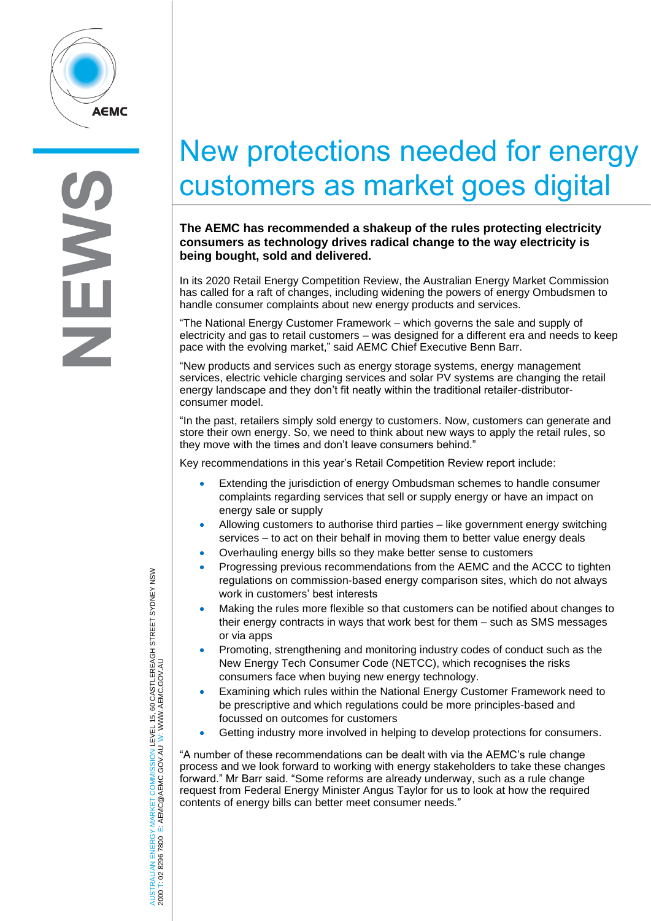

## New protections needed for energy customers as market goes digital

**The AEMC has recommended a shakeup of the rules protecting electricity consumers as technology drives radical change to the way electricity is being bought, sold and delivered.**

In its 2020 Retail Energy Competition Review, the Australian Energy Market Commission has called for a raft of changes, including widening the powers of energy Ombudsmen to handle consumer complaints about new energy products and services.

"The National Energy Customer Framework – which governs the sale and supply of electricity and gas to retail customers – was designed for a different era and needs to keep pace with the evolving market," said AEMC Chief Executive Benn Barr.

"New products and services such as energy storage systems, energy management services, electric vehicle charging services and solar PV systems are changing the retail energy landscape and they don't fit neatly within the traditional retailer-distributorconsumer model.

"In the past, retailers simply sold energy to customers. Now, customers can generate and store their own energy. So, we need to think about new ways to apply the retail rules, so they move with the times and don't leave consumers behind."

Key recommendations in this year's Retail Competition Review report include:

- Extending the jurisdiction of energy Ombudsman schemes to handle consumer complaints regarding services that sell or supply energy or have an impact on energy sale or supply
- Allowing customers to authorise third parties like government energy switching services – to act on their behalf in moving them to better value energy deals
- Overhauling energy bills so they make better sense to customers
- Progressing previous recommendations from the AEMC and the ACCC to tighten regulations on commission-based energy comparison sites, which do not always work in customers' best interests
- Making the rules more flexible so that customers can be notified about changes to their energy contracts in ways that work best for them – such as SMS messages or via apps
- Promoting, strengthening and monitoring industry codes of conduct such as the New Energy Tech Consumer Code (NETCC), which recognises the risks consumers face when buying new energy technology.
- Examining which rules within the National Energy Customer Framework need to be prescriptive and which regulations could be more principles-based and focussed on outcomes for customers
- Getting industry more involved in helping to develop protections for consumers.

"A number of these recommendations can be dealt with via the AEMC's rule change process and we look forward to working with energy stakeholders to take these changes forward." Mr Barr said. "Some reforms are already underway, such as a rule change request from Federal Energy Minister Angus Taylor for us to look at how the required contents of energy bills can better meet consumer needs."

AUSTRALIAN ENERGY MARKET COMMISSION LEVEL 15, 60 CASTLEREAGH STREET SYDNEY NSW AUSTRALIAN ENERGY MARKET COMMISSION LEVEL 15, 60 CASTLEREACH STREET SYDNEY NSW<br>2000 T: 02 8296 7800 E: AEMC@AEMC.GOV.AU W: WWW.AEMC.GOV.AU W: WWW.AEMC.GOV.AU 2000 T: 02 8296 7800 E: AEMC@AEMC.GOV.AU